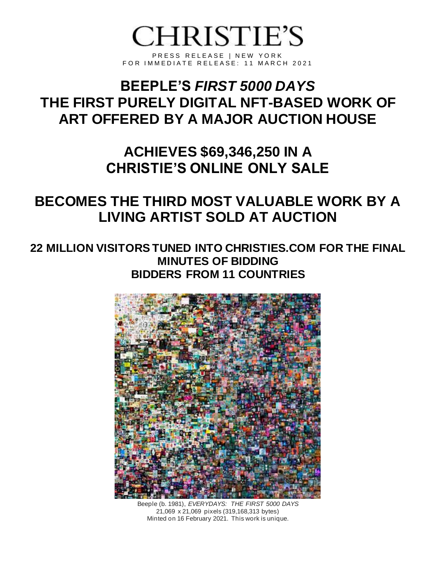# **CHRISTIE'S**

PRESS RELEASE | NEW YORK FOR IMMEDIATE RELEASE: 11 MARCH 2021

## **BEEPLE'S** *FIRST 5000 DAYS* **THE FIRST PURELY DIGITAL NFT-BASED WORK OF ART OFFERED BY A MAJOR AUCTION HOUSE**

**ACHIEVES \$69,346,250 IN A CHRISTIE'S ONLINE ONLY SALE**

### **BECOMES THE THIRD MOST VALUABLE WORK BY A LIVING ARTIST SOLD AT AUCTION**

#### **22 MILLION VISITORS TUNED INTO CHRISTIES.COM FOR THE FINAL MINUTES OF BIDDING BIDDERS FROM 11 COUNTRIES**



Beeple (b. 1981), *EVERYDAYS: THE FIRST 5000 DAYS* 21,069 x 21,069 pixels (319,168,313 bytes) Minted on 16 February 2021. This work is unique.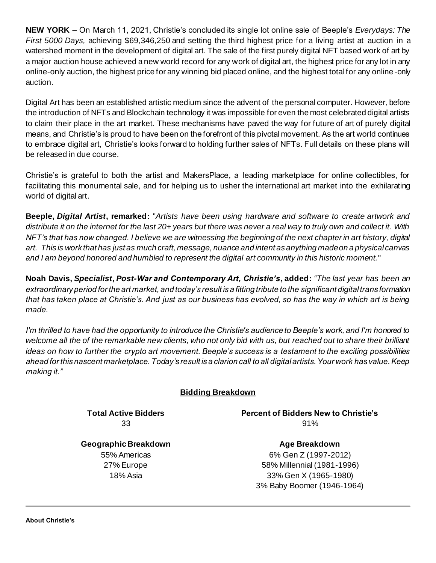**NEW YORK** – On March 11, 2021, Christie's concluded its single lot online sale of Beeple's *Everydays: The First 5000 Days,* achieving \$69,346,250 and setting the third highest price for a living artist at auction in a watershed moment in the development of digital art. The sale of the first purely digital NFT based work of art by a major auction house achieved a new world record for any work of digital art, the highest price for any lot in any online-only auction, the highest price for any winning bid placed online, and the highest total for any online -only auction.

Digital Art has been an established artistic medium since the advent of the personal computer. However, before the introduction of NFTs and Blockchain technology it was impossible for even the most celebrated digital artists to claim their place in the art market. These mechanisms have paved the way for future of art of purely digital means, and Christie's is proud to have been on the forefront of this pivotal movement. As the art world continues to embrace digital art, Christie's looks forward to holding further sales of NFTs. Full details on these plans will be released in due course.

Christie's is grateful to both the artist and MakersPlace, a leading marketplace for online collectibles, for facilitating this monumental sale, and for helping us to usher the international art market into the exhilarating world of digital art.

**Beeple,** *Digital Artist***, remarked:** "*Artists have been using hardware and software to create artwork and distribute it on the internet for the last 20+ years but there was never a real way to truly own and collect it. With NFT's that has now changed. I believe we are witnessing the beginning of the next chapter in art history, digital art. This is work that has just as much craft, message, nuance and intent as anything made on a physical canvas and I am beyond honored and humbled to represent the digital art community in this historic moment.*"

**Noah Davis,** *Specialist***,** *Post-War and Contemporary Art, Christie's***, added:** *"The last year has been an extraordinary period for the art market, and today's result is a fitting tribute to the significant digital trans formation that has taken place at Christie's. And just as our business has evolved, so has the way in which art is being made.*

*I'm thrilled to have had the opportunity to introduce the Christie's audience to Beeple's work, and I'm honored to*  welcome all the of the remarkable new clients, who not only bid with us, but reached out to share their brilliant *ideas on how to further the crypto art movement. Beeple's success is a testament to the exciting possibilities ahead for this nascent marketplace. Today's result is a clarion call to all digital artists. Your work has value. Keep making it."*

#### **Bidding Breakdown**

**Total Active Bidders** 33

**Percent of Bidders New to Christie's** 91%

**Geographic Breakdown** 55% Americas 27% Europe 18% Asia

**Age Breakdown** 6% Gen Z (1997-2012) 58% Millennial (1981-1996) 33% Gen X (1965-1980) 3% Baby Boomer (1946-1964)